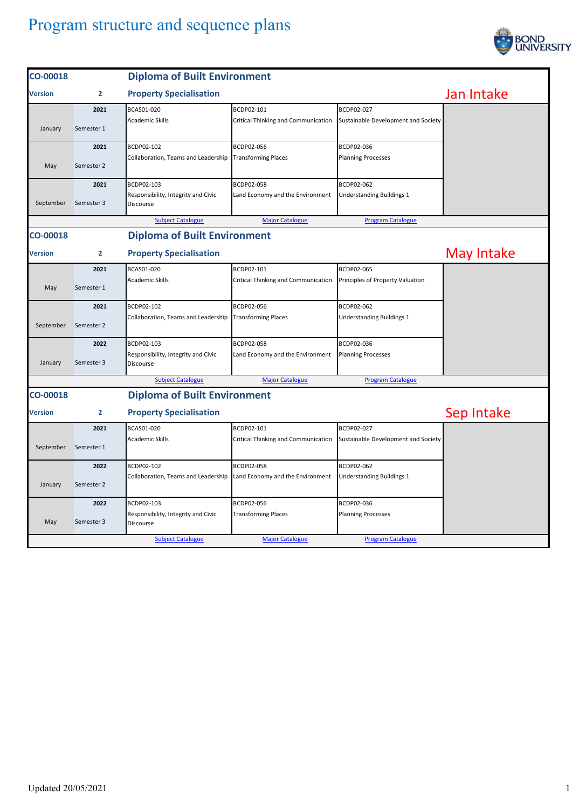

| CO-00018                                                                       | <b>Diploma of Built Environment</b> |                                                                       |                                                   |                                                   |            |
|--------------------------------------------------------------------------------|-------------------------------------|-----------------------------------------------------------------------|---------------------------------------------------|---------------------------------------------------|------------|
| <b>Version</b>                                                                 | $\mathbf{2}$                        | <b>Property Specialisation</b>                                        |                                                   |                                                   | Jan Intake |
| January                                                                        | 2021<br>Semester 1                  | BCAS01-020<br><b>Academic Skills</b>                                  | BCDP02-101<br>Critical Thinking and Communication | BCDP02-027<br>Sustainable Development and Society |            |
| May                                                                            | 2021<br>Semester 2                  | BCDP02-102<br>Collaboration, Teams and Leadership                     | BCDP02-056<br><b>Transforming Places</b>          | BCDP02-036<br><b>Planning Processes</b>           |            |
| September                                                                      | 2021<br>Semester 3                  | BCDP02-103<br>Responsibility, Integrity and Civic<br>Discourse        | BCDP02-058<br>Land Economy and the Environment    | BCDP02-062<br>Understanding Buildings 1           |            |
|                                                                                |                                     | <b>Subject Catalogue</b>                                              | <b>Major Catalogue</b>                            | <b>Program Catalogue</b>                          |            |
| <b>Diploma of Built Environment</b><br>CO-00018                                |                                     |                                                                       |                                                   |                                                   |            |
| <b>Version</b>                                                                 | $\overline{2}$                      | <b>Property Specialisation</b>                                        |                                                   |                                                   | May Intake |
| May                                                                            | 2021<br>Semester 1                  | BCAS01-020<br>Academic Skills                                         | BCDP02-101<br>Critical Thinking and Communication | BCDP02-065<br>Principles of Property Valuation    |            |
| September                                                                      | 2021<br>Semester 2                  | BCDP02-102<br>Collaboration, Teams and Leadership                     | BCDP02-056<br><b>Transforming Places</b>          | BCDP02-062<br>Understanding Buildings 1           |            |
| January                                                                        | 2022<br>Semester 3                  | BCDP02-103<br>Responsibility, Integrity and Civic<br>Discourse        | BCDP02-058<br>Land Economy and the Environment    | BCDP02-036<br><b>Planning Processes</b>           |            |
|                                                                                |                                     | <b>Subject Catalogue</b>                                              | <b>Major Catalogue</b>                            | <b>Program Catalogue</b>                          |            |
| <b>Diploma of Built Environment</b><br>CO-00018                                |                                     |                                                                       |                                                   |                                                   |            |
| <b>Version</b>                                                                 | $\overline{2}$                      | <b>Property Specialisation</b>                                        |                                                   |                                                   | Sep Intake |
| September                                                                      | 2021<br>Semester 1                  | BCAS01-020<br><b>Academic Skills</b>                                  | BCDP02-101<br>Critical Thinking and Communication | BCDP02-027<br>Sustainable Development and Society |            |
| January                                                                        | 2022<br>Semester 2                  | BCDP02-102<br>Collaboration, Teams and Leadership                     | BCDP02-058<br>Land Economy and the Environment    | BCDP02-062<br>Understanding Buildings 1           |            |
| May                                                                            | 2022<br>Semester 3                  | BCDP02-103<br>Responsibility, Integrity and Civic<br><b>Discourse</b> | BCDP02-056<br><b>Transforming Places</b>          | BCDP02-036<br><b>Planning Processes</b>           |            |
| <b>Subject Catalogue</b><br><b>Major Catalogue</b><br><b>Program Catalogue</b> |                                     |                                                                       |                                                   |                                                   |            |